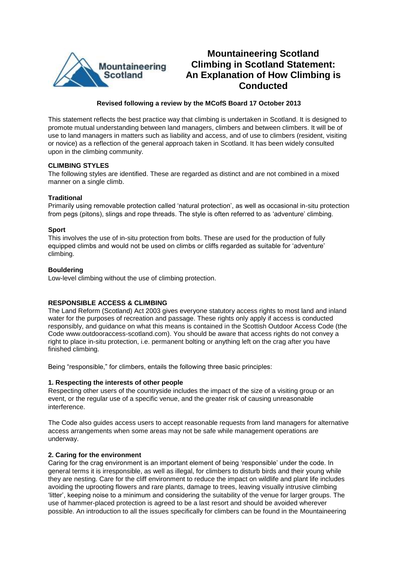

# **Mountaineering Scotland Climbing in Scotland Statement: An Explanation of How Climbing is Conducted**

# **Revised following a review by the MCofS Board 17 October 2013**

This statement reflects the best practice way that climbing is undertaken in Scotland. It is designed to promote mutual understanding between land managers, climbers and between climbers. It will be of use to land managers in matters such as liability and access, and of use to climbers (resident, visiting or novice) as a reflection of the general approach taken in Scotland. It has been widely consulted upon in the climbing community.

# **CLIMBING STYLES**

The following styles are identified. These are regarded as distinct and are not combined in a mixed manner on a single climb.

# **Traditional**

Primarily using removable protection called 'natural protection', as well as occasional in-situ protection from pegs (pitons), slings and rope threads. The style is often referred to as 'adventure' climbing.

## **Sport**

This involves the use of in-situ protection from bolts. These are used for the production of fully equipped climbs and would not be used on climbs or cliffs regarded as suitable for 'adventure' climbing.

### **Bouldering**

Low-level climbing without the use of climbing protection.

# **RESPONSIBLE ACCESS & CLIMBING**

The Land Reform (Scotland) Act 2003 gives everyone statutory access rights to most land and inland water for the purposes of recreation and passage. These rights only apply if access is conducted responsibly, and guidance on what this means is contained in the Scottish Outdoor Access Code (the Code www.outdooraccess-scotland.com). You should be aware that access rights do not convey a right to place in-situ protection, i.e. permanent bolting or anything left on the crag after you have finished climbing.

Being "responsible," for climbers, entails the following three basic principles:

### **1. Respecting the interests of other people**

Respecting other users of the countryside includes the impact of the size of a visiting group or an event, or the regular use of a specific venue, and the greater risk of causing unreasonable interference.

The Code also guides access users to accept reasonable requests from land managers for alternative access arrangements when some areas may not be safe while management operations are underway.

### **2. Caring for the environment**

Caring for the crag environment is an important element of being 'responsible' under the code. In general terms it is irresponsible, as well as illegal, for climbers to disturb birds and their young while they are nesting. Care for the cliff environment to reduce the impact on wildlife and plant life includes avoiding the uprooting flowers and rare plants, damage to trees, leaving visually intrusive climbing 'litter', keeping noise to a minimum and considering the suitability of the venue for larger groups. The use of hammer-placed protection is agreed to be a last resort and should be avoided wherever possible. An introduction to all the issues specifically for climbers can be found in the Mountaineering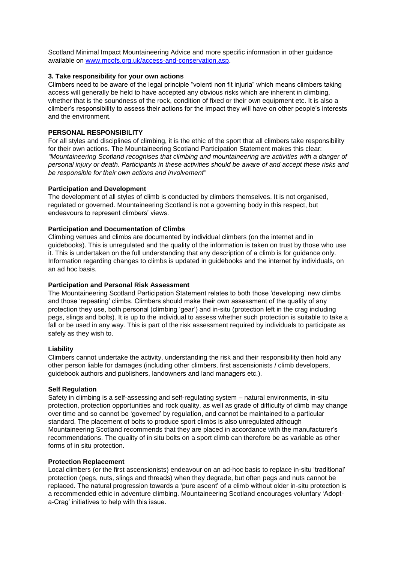Scotland Minimal Impact Mountaineering Advice and more specific information in other guidance available on [www.mcofs.org.uk/access-and-conservation.asp.](http://www.mcofs.org.uk/access-and-conservation.asp)

## **3. Take responsibility for your own actions**

Climbers need to be aware of the legal principle "volenti non fit injuria" which means climbers taking access will generally be held to have accepted any obvious risks which are inherent in climbing, whether that is the soundness of the rock, condition of fixed or their own equipment etc. It is also a climber's responsibility to assess their actions for the impact they will have on other people's interests and the environment.

## **PERSONAL RESPONSIBILITY**

For all styles and disciplines of climbing, it is the ethic of the sport that all climbers take responsibility for their own actions. The Mountaineering Scotland Participation Statement makes this clear: *"Mountaineering Scotland recognises that climbing and mountaineering are activities with a danger of personal injury or death. Participants in these activities should be aware of and accept these risks and be responsible for their own actions and involvement"*

### **Participation and Development**

The development of all styles of climb is conducted by climbers themselves. It is not organised, regulated or governed. Mountaineering Scotland is not a governing body in this respect, but endeavours to represent climbers' views.

## **Participation and Documentation of Climbs**

Climbing venues and climbs are documented by individual climbers (on the internet and in guidebooks). This is unregulated and the quality of the information is taken on trust by those who use it. This is undertaken on the full understanding that any description of a climb is for guidance only. Information regarding changes to climbs is updated in guidebooks and the internet by individuals, on an ad hoc basis.

## **Participation and Personal Risk Assessment**

The Mountaineering Scotland Participation Statement relates to both those 'developing' new climbs and those 'repeating' climbs. Climbers should make their own assessment of the quality of any protection they use, both personal (climbing 'gear') and in-situ (protection left in the crag including pegs, slings and bolts). It is up to the individual to assess whether such protection is suitable to take a fall or be used in any way. This is part of the risk assessment required by individuals to participate as safely as they wish to.

### **Liability**

Climbers cannot undertake the activity, understanding the risk and their responsibility then hold any other person liable for damages (including other climbers, first ascensionists / climb developers, guidebook authors and publishers, landowners and land managers etc.).

# **Self Regulation**

Safety in climbing is a self-assessing and self-regulating system – natural environments, in-situ protection, protection opportunities and rock quality, as well as grade of difficulty of climb may change over time and so cannot be 'governed' by regulation, and cannot be maintained to a particular standard. The placement of bolts to produce sport climbs is also unregulated although Mountaineering Scotland recommends that they are placed in accordance with the manufacturer's recommendations. The quality of in situ bolts on a sport climb can therefore be as variable as other forms of in situ protection.

### **Protection Replacement**

Local climbers (or the first ascensionists) endeavour on an ad-hoc basis to replace in-situ 'traditional' protection (pegs, nuts, slings and threads) when they degrade, but often pegs and nuts cannot be replaced. The natural progression towards a 'pure ascent' of a climb without older in-situ protection is a recommended ethic in adventure climbing. Mountaineering Scotland encourages voluntary 'Adopta-Crag' initiatives to help with this issue.